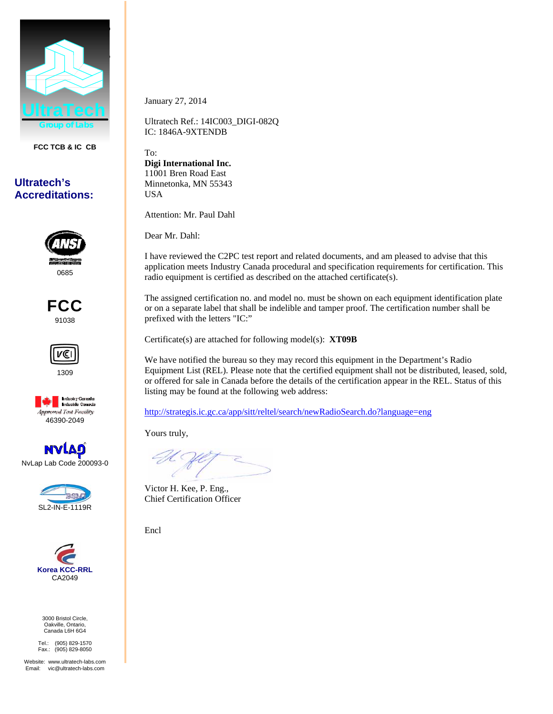

**FCC TCB & IC CB** 

## **Ultratech's Accreditations:**



FCC 91038







NvLap Lab Code 200093-0





3000 Bristol Circle, Oakville, Ontario, Canada L6H 6G4

Tel.: (905) 829-1570 Fax.: (905) 829-8050

Website: www.ultratech-labs.com Email: vic@ultratech-labs.com

January 27, 2014

Ultratech Ref.: 14IC003\_DIGI-082Q IC: 1846A-9XTENDB

To: **Digi International Inc.**  11001 Bren Road East Minnetonka, MN 55343 USA

Attention: Mr. Paul Dahl

Dear Mr. Dahl:

I have reviewed the C2PC test report and related documents, and am pleased to advise that this application meets Industry Canada procedural and specification requirements for certification. This radio equipment is certified as described on the attached certificate(s).

The assigned certification no. and model no. must be shown on each equipment identification plate or on a separate label that shall be indelible and tamper proof. The certification number shall be prefixed with the letters "IC:"

Certificate(s) are attached for following model(s): **XT09B** 

We have notified the bureau so they may record this equipment in the Department's Radio Equipment List (REL). Please note that the certified equipment shall not be distributed, leased, sold, or offered for sale in Canada before the details of the certification appear in the REL. Status of this listing may be found at the following web address:

http://strategis.ic.gc.ca/app/sitt/reltel/search/newRadioSearch.do?language=eng

Yours truly,

Victor H. Kee, P. Eng., Chief Certification Officer

Encl